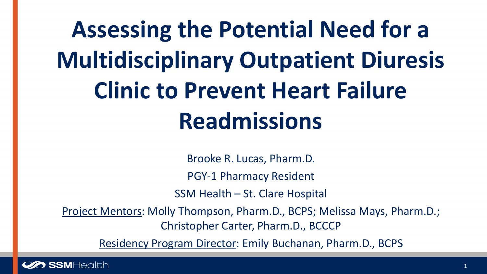# **Assessing the Potential Need for a Multidisciplinary Outpatient Diuresis Clinic to Prevent Heart Failure Readmissions**

Brooke R. Lucas, Pharm.D.

PGY-1 Pharmacy Resident

SSM Health – St. Clare Hospital

Project Mentors: Molly Thompson, Pharm.D., BCPS; Melissa Mays, Pharm.D.; Christopher Carter, Pharm.D., BCCCP

Residency Program Director: Emily Buchanan, Pharm.D., BCPS

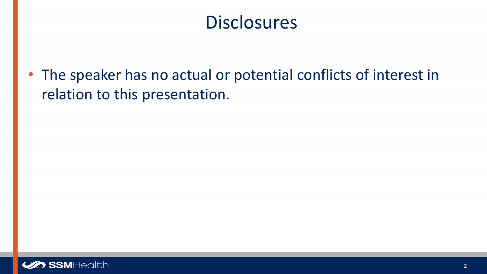### **Disclosures**

• The speaker has no actual or potential conflicts of interest in relation to this presentation.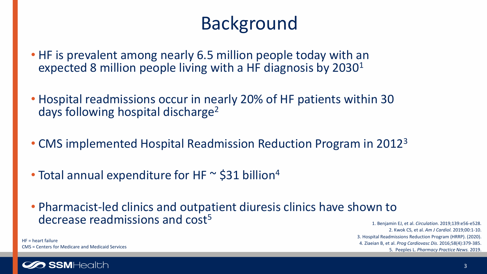## Background

- HF is prevalent among nearly 6.5 million people today with an expected 8 million people living with a HF diagnosis by 2030<sup>1</sup>
- Hospital readmissions occur in nearly 20% of HF patients within 30 days following hospital discharge2
- CMS implemented Hospital Readmission Reduction Program in 20123
- Total annual expenditure for HF  $\sim$  \$31 billion<sup>4</sup>
- Pharmacist-led clinics and outpatient diuresis clinics have shown to decrease readmissions and cost<sup>5</sup>

1. Benjamin EJ, et al. *Circulation.* 2019;139:e56-e528. 2. Kwok CS, et al. *Am J Cardiol.* 2019;00:1-10. 3. Hospital Readmissions Reduction Program (HRRP). (2020). 4. Ziaeian B, et al. *Prog Cardiovasc Dis*. 2016;58(4):379-385. 5. Peeples L. *Pharmacy Practice News.* 2019.

HF = heart failure CMS = Centers for Medicare and Medicaid Services

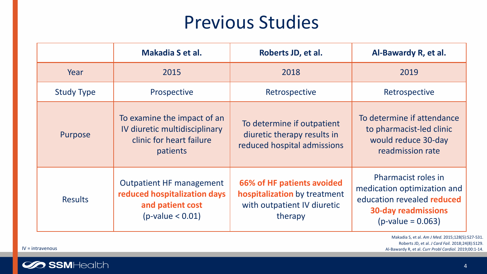### Previous Studies

|                   | Makadia S et al.                                                                                          | Roberts JD, et al.                                                                                   | Al-Bawardy R, et al.                                                                                                                  |
|-------------------|-----------------------------------------------------------------------------------------------------------|------------------------------------------------------------------------------------------------------|---------------------------------------------------------------------------------------------------------------------------------------|
| Year              | 2015                                                                                                      | 2018                                                                                                 | 2019                                                                                                                                  |
| <b>Study Type</b> | Prospective                                                                                               | Retrospective                                                                                        | Retrospective                                                                                                                         |
| Purpose           | To examine the impact of an<br>IV diuretic multidisciplinary<br>clinic for heart failure<br>patients      | To determine if outpatient<br>diuretic therapy results in<br>reduced hospital admissions             | To determine if attendance<br>to pharmacist-led clinic<br>would reduce 30-day<br>readmission rate                                     |
| <b>Results</b>    | <b>Outpatient HF management</b><br>reduced hospitalization days<br>and patient cost<br>$(p-value < 0.01)$ | 66% of HF patients avoided<br>hospitalization by treatment<br>with outpatient IV diuretic<br>therapy | Pharmacist roles in<br>medication optimization and<br>education revealed reduced<br><b>30-day readmissions</b><br>$(p-value = 0.063)$ |

Makadia S, et al. *Am J Med.* 2015;128(5):527-531. Roberts JD, et al. *J Card Fail.* 2018;24(8):S129. IV = intravenous Al-Bawardy R, et al. *Curr Probl Cardiol.* 2019;00:1-14.



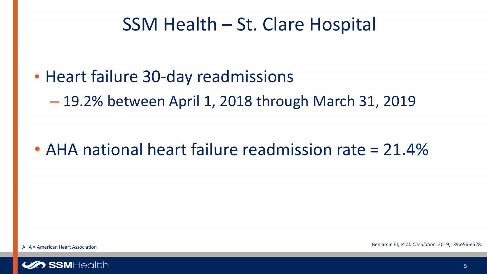### SSM Health – St. Clare Hospital

- Heart failure 30-day readmissions
	- 19.2% between April 1, 2018 through March 31, 2019

• AHA national heart failure readmission rate = 21.4%

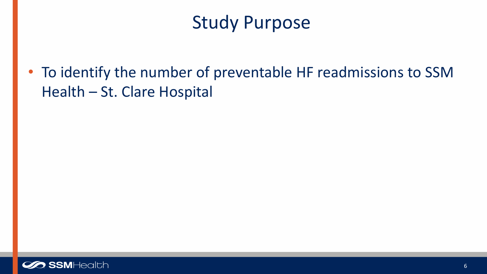## Study Purpose

• To identify the number of preventable HF readmissions to SSM Health – St. Clare Hospital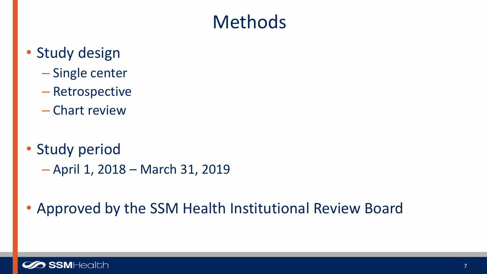## Methods

- Study design
	- Single center
	- Retrospective
	- Chart review
- Study period
	- April 1, 2018 March 31, 2019
- Approved by the SSM Health Institutional Review Board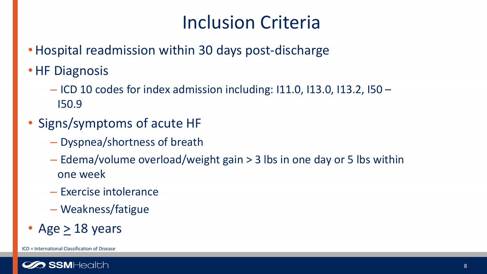## Inclusion Criteria

- Hospital readmission within 30 days post-discharge
- HF Diagnosis
	- ICD 10 codes for index admission including: I11.0, I13.0, I13.2, I50 I50.9
- Signs/symptoms of acute HF
	- Dyspnea/shortness of breath
	- Edema/volume overload/weight gain > 3 lbs in one day or 5 lbs within one week
	- Exercise intolerance
	- Weakness/fatigue
- Age  $>$  18 years

ICD = International Classification of Disease

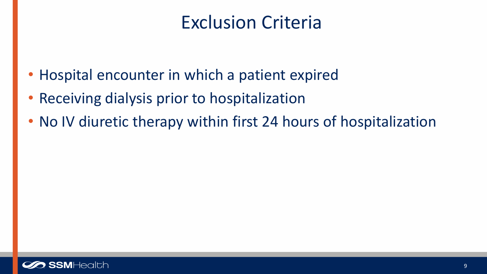## Exclusion Criteria

- Hospital encounter in which a patient expired
- Receiving dialysis prior to hospitalization
- No IV diuretic therapy within first 24 hours of hospitalization

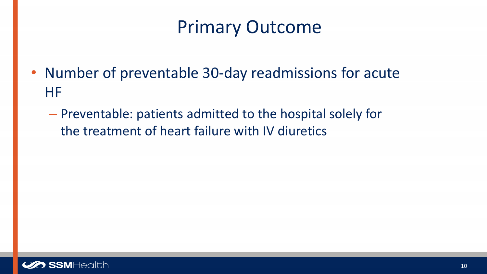## Primary Outcome

- Number of preventable 30-day readmissions for acute HF
	- Preventable: patients admitted to the hospital solely for the treatment of heart failure with IV diuretics

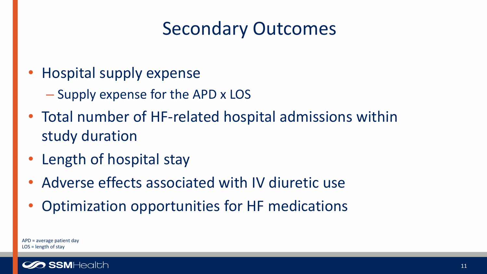## Secondary Outcomes

- Hospital supply expense
	- Supply expense for the APD x LOS
- Total number of HF-related hospital admissions within study duration
- Length of hospital stay
- Adverse effects associated with IV diuretic use
- Optimization opportunities for HF medications

APD = average patient day LOS = length of stay

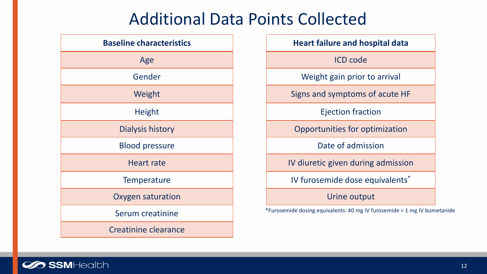#### Additional Data Points Collected

| <b>Baseline characteristics</b> |  |  |  |
|---------------------------------|--|--|--|
| Age                             |  |  |  |
| Gender                          |  |  |  |
| Weight                          |  |  |  |
| <b>Height</b>                   |  |  |  |
| <b>Dialysis history</b>         |  |  |  |
| <b>Blood pressure</b>           |  |  |  |
| <b>Heart rate</b>               |  |  |  |
| <b>Temperature</b>              |  |  |  |
| <b>Oxygen saturation</b>        |  |  |  |
| Serum creatinine                |  |  |  |
| <b>Creatinine clearance</b>     |  |  |  |

| <b>Heart failure and hospital data</b> |
|----------------------------------------|
| <b>ICD</b> code                        |
| Weight gain prior to arrival           |
| Signs and symptoms of acute HF         |
| <b>Ejection fraction</b>               |
| Opportunities for optimization         |
| Date of admission                      |
| IV diuretic given during admission     |
| IV furosemide dose equivalents*        |
| Urine output                           |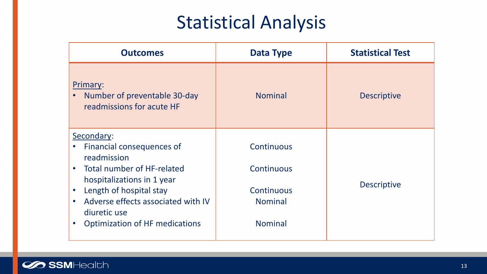## Statistical Analysis

| <b>Outcomes</b>                                                                                                       | <b>Data Type</b>             | <b>Statistical Test</b> |
|-----------------------------------------------------------------------------------------------------------------------|------------------------------|-------------------------|
| Primary:<br>Number of preventable 30-day<br>$\bullet$<br>readmissions for acute HF                                    | <b>Nominal</b>               | <b>Descriptive</b>      |
| Secondary:<br>Financial consequences of<br>$\bullet$                                                                  | Continuous                   |                         |
| readmission<br>Total number of HF-related<br>$\bullet$                                                                | Continuous                   |                         |
| hospitalizations in 1 year<br>Length of hospital stay<br>$\bullet$<br>Adverse effects associated with IV<br>$\bullet$ | Continuous<br><b>Nominal</b> | <b>Descriptive</b>      |
| diuretic use                                                                                                          |                              |                         |
| <b>Optimization of HF medications</b><br>$\bullet$                                                                    | <b>Nominal</b>               |                         |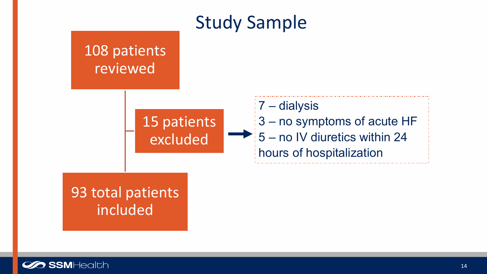#### Study Sample

108 patients reviewed

> 15 patients excluded

7 – dialysis 3 – no symptoms of acute HF 5 – no IV diuretics within 24 hours of hospitalization

#### 93 total patients **included**

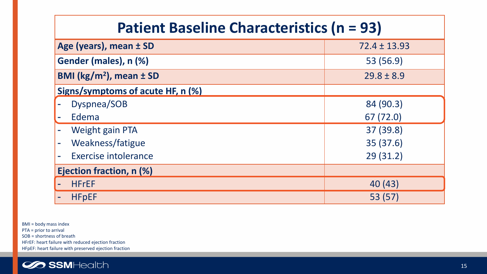| <b>Patient Baseline Characteristics (n = 93)</b> |                |  |  |
|--------------------------------------------------|----------------|--|--|
| Age (years), mean ± SD<br>$72.4 \pm 13.93$       |                |  |  |
| Gender (males), n (%)                            | 53 (56.9)      |  |  |
| BMI ( $\text{kg/m}^2$ ), mean $\pm$ SD           | $29.8 \pm 8.9$ |  |  |
| Signs/symptoms of acute HF, n (%)                |                |  |  |
| Dyspnea/SOB                                      | 84 (90.3)      |  |  |
| Edema                                            | 67 (72.0)      |  |  |
| <b>Weight gain PTA</b>                           | 37 (39.8)      |  |  |
| Weakness/fatigue                                 | 35 (37.6)      |  |  |
| Exercise intolerance                             | 29(31.2)       |  |  |
| Ejection fraction, n (%)                         |                |  |  |
| <b>HFrEF</b>                                     | 40(43)         |  |  |
| <b>HFpEF</b>                                     | 53 (57)        |  |  |

BMI = body mass index PTA = prior to arrival SOB = shortness of breath HFrEF: heart failure with reduced ejection fraction HFpEF: heart failure with preserved ejection fraction

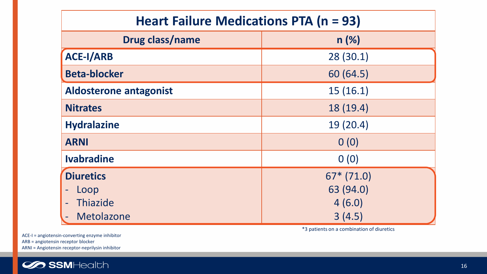| Heart Failure Medications PTA (n = 93) |             |  |  |  |
|----------------------------------------|-------------|--|--|--|
| <b>Drug class/name</b><br>n(%)         |             |  |  |  |
| <b>ACE-I/ARB</b>                       | 28(30.1)    |  |  |  |
| <b>Beta-blocker</b>                    | 60 (64.5)   |  |  |  |
| <b>Aldosterone antagonist</b>          | 15(16.1)    |  |  |  |
| <b>Nitrates</b>                        | 18 (19.4)   |  |  |  |
| <b>Hydralazine</b>                     | 19(20.4)    |  |  |  |
| <b>ARNI</b>                            | 0(0)        |  |  |  |
| <b>Ivabradine</b>                      | 0(0)        |  |  |  |
| <b>Diuretics</b>                       | $67*(71.0)$ |  |  |  |
| Loop                                   | 63 (94.0)   |  |  |  |
| Thiazide                               | 4(6.0)      |  |  |  |
| Metolazone                             | 3(4.5)      |  |  |  |

\*3 patients on a combination of diuretics

ACE-I = angiotensin-converting enzyme inhibitor ARB = angiotensin receptor blocker ARNI = Angiotensin receptor-neprilysin inhibitor

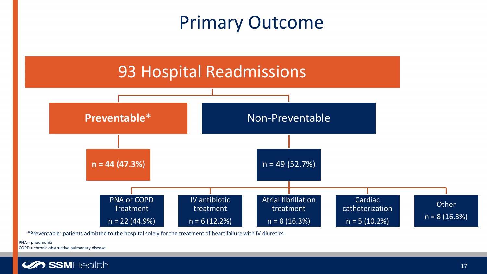## Primary Outcome



\*Preventable: patients admitted to the hospital solely for the treatment of heart failure with IV diuretics

PNA = pneumonia COPD = chronic obstructive pulmonary disease

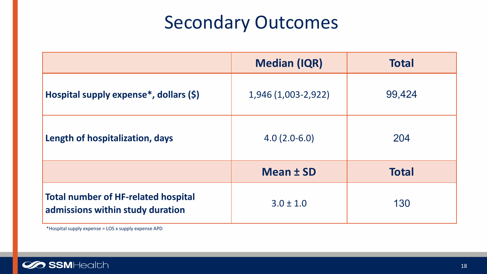## Secondary Outcomes

|                                                                                | <b>Median (IQR)</b> | <b>Total</b> |
|--------------------------------------------------------------------------------|---------------------|--------------|
| Hospital supply expense*, dollars (\$)                                         | 1,946 (1,003-2,922) | 99,424       |
| Length of hospitalization, days                                                | $4.0(2.0-6.0)$      | 204          |
|                                                                                | Mean ± SD           | <b>Total</b> |
| <b>Total number of HF-related hospital</b><br>admissions within study duration | $3.0 \pm 1.0$       | 130          |

\*Hospital supply expense = LOS x supply expense APD

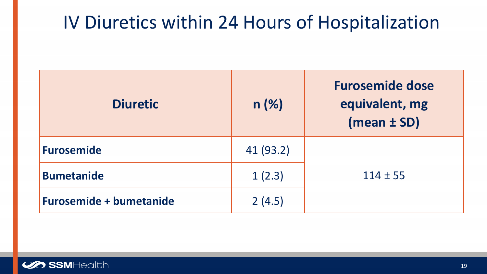## IV Diuretics within 24 Hours of Hospitalization

| <b>Diuretic</b>                | n(%)      | <b>Furosemide dose</b><br>equivalent, mg<br>$(mean \pm SD)$ |
|--------------------------------|-----------|-------------------------------------------------------------|
| <b>Furosemide</b>              | 41 (93.2) |                                                             |
| <b>Bumetanide</b>              | 1(2.3)    | $114 \pm 55$                                                |
| <b>Furosemide + bumetanide</b> | 2(4.5)    |                                                             |

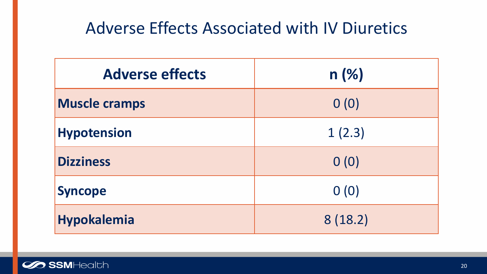#### Adverse Effects Associated with IV Diuretics

| <b>Adverse effects</b> | n(%)    |
|------------------------|---------|
| <b>Muscle cramps</b>   | 0(0)    |
| <b>Hypotension</b>     | 1(2.3)  |
| <b>Dizziness</b>       | 0(0)    |
| <b>Syncope</b>         | 0(0)    |
| Hypokalemia            | 8(18.2) |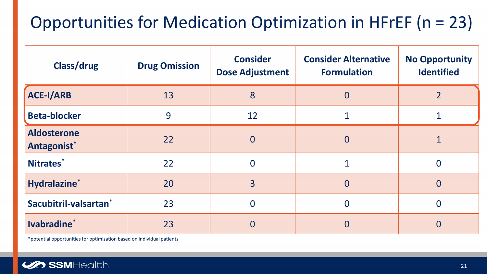### Opportunities for Medication Optimization in HFrEF (n = 23)

| Class/drug                        | <b>Drug Omission</b> | <b>Consider</b><br><b>Dose Adjustment</b> | <b>Consider Alternative</b><br><b>Formulation</b> | <b>No Opportunity</b><br><b>Identified</b> |
|-----------------------------------|----------------------|-------------------------------------------|---------------------------------------------------|--------------------------------------------|
| <b>ACE-I/ARB</b>                  | 13                   | 8                                         | $\overline{0}$                                    | $\overline{2}$                             |
| <b>Beta-blocker</b>               | 9                    | 12                                        |                                                   |                                            |
| <b>Aldosterone</b><br>Antagonist* | 22                   | $\overline{0}$                            | $\overline{0}$                                    |                                            |
| Nitrates*                         | 22                   | $\Omega$                                  |                                                   | $\Omega$                                   |
| Hydralazine*                      | 20                   | $\overline{3}$                            | $\overline{0}$                                    | $\overline{0}$                             |
| Sacubitril-valsartan <sup>*</sup> | 23                   | $\overline{0}$                            |                                                   | $\Omega$                                   |
| Ivabradine*                       | 23                   | $\Omega$                                  | $\Omega$                                          | $\Omega$                                   |

\*potential opportunities for optimization based on individual patients

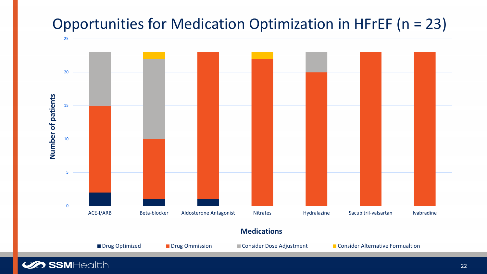#### Opportunities for Medication Optimization in HFrEF (n = 23)



**Medications**

■ Drug Optimized ■ Drug Ommission ■ Consider Dose Adjustment ■ Consider Alternative Formualtion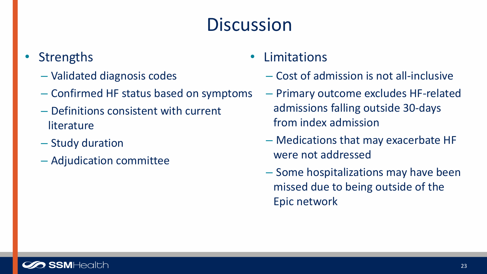## **Discussion**

#### **Strengths**

- Validated diagnosis codes
- Confirmed HF status based on symptoms
- Definitions consistent with current literature
- Study duration
- Adjudication committee
- Limitations
	- Cost of admission is not all-inclusive
	- Primary outcome excludes HF-related admissions falling outside 30-days from index admission
	- Medications that may exacerbate HF were not addressed
	- Some hospitalizations may have been missed due to being outside of the Epic network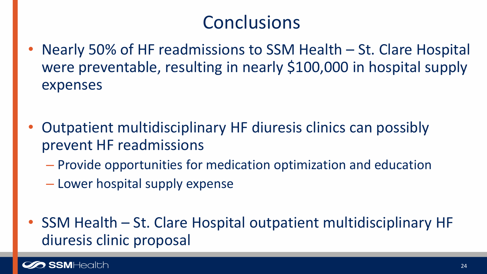## Conclusions

- Nearly 50% of HF readmissions to SSM Health St. Clare Hospital were preventable, resulting in nearly \$100,000 in hospital supply expenses
- Outpatient multidisciplinary HF diuresis clinics can possibly prevent HF readmissions
	- Provide opportunities for medication optimization and education
	- Lower hospital supply expense
- SSM Health St. Clare Hospital outpatient multidisciplinary HF diuresis clinic proposal